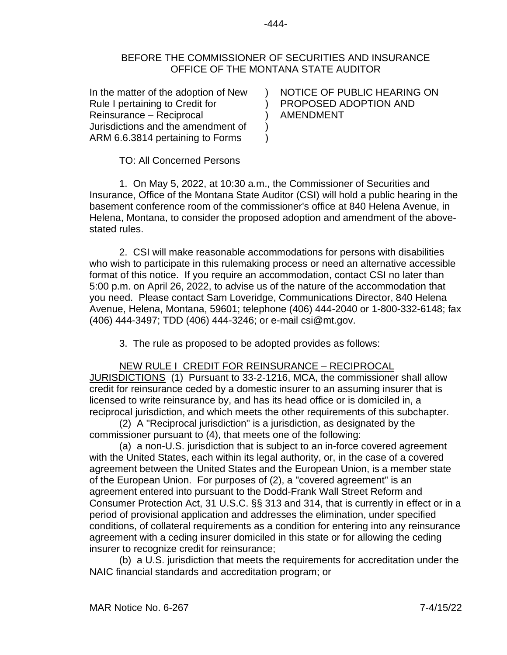## BEFORE THE COMMISSIONER OF SECURITIES AND INSURANCE OFFICE OF THE MONTANA STATE AUDITOR

) ) ) )  $\lambda$ 

In the matter of the adoption of New Rule I pertaining to Credit for Reinsurance – Reciprocal Jurisdictions and the amendment of ARM 6.6.3814 pertaining to Forms

NOTICE OF PUBLIC HEARING ON PROPOSED ADOPTION AND AMENDMENT

TO: All Concerned Persons

1. On May 5, 2022, at 10:30 a.m., the Commissioner of Securities and Insurance, Office of the Montana State Auditor (CSI) will hold a public hearing in the basement conference room of the commissioner's office at 840 Helena Avenue, in Helena, Montana, to consider the proposed adoption and amendment of the abovestated rules.

2. CSI will make reasonable accommodations for persons with disabilities who wish to participate in this rulemaking process or need an alternative accessible format of this notice. If you require an accommodation, contact CSI no later than 5:00 p.m. on April 26, 2022, to advise us of the nature of the accommodation that you need. Please contact Sam Loveridge, Communications Director, 840 Helena Avenue, Helena, Montana, 59601; telephone (406) 444-2040 or 1-800-332-6148; fax (406) 444-3497; TDD (406) 444-3246; or e-mail csi@mt.gov.

3. The rule as proposed to be adopted provides as follows:

NEW RULE I CREDIT FOR REINSURANCE – RECIPROCAL JURISDICTIONS (1) Pursuant to 33-2-1216, MCA, the commissioner shall allow credit for reinsurance ceded by a domestic insurer to an assuming insurer that is licensed to write reinsurance by, and has its head office or is domiciled in, a reciprocal jurisdiction, and which meets the other requirements of this subchapter.

(2) A "Reciprocal jurisdiction" is a jurisdiction, as designated by the commissioner pursuant to (4), that meets one of the following:

(a) a non-U.S. jurisdiction that is subject to an in-force covered agreement with the United States, each within its legal authority, or, in the case of a covered agreement between the United States and the European Union, is a member state of the European Union. For purposes of (2), a "covered agreement" is an agreement entered into pursuant to the Dodd-Frank Wall Street Reform and Consumer Protection Act, 31 U.S.C. §§ 313 and 314, that is currently in effect or in a period of provisional application and addresses the elimination, under specified conditions, of collateral requirements as a condition for entering into any reinsurance agreement with a ceding insurer domiciled in this state or for allowing the ceding insurer to recognize credit for reinsurance;

(b) a U.S. jurisdiction that meets the requirements for accreditation under the NAIC financial standards and accreditation program; or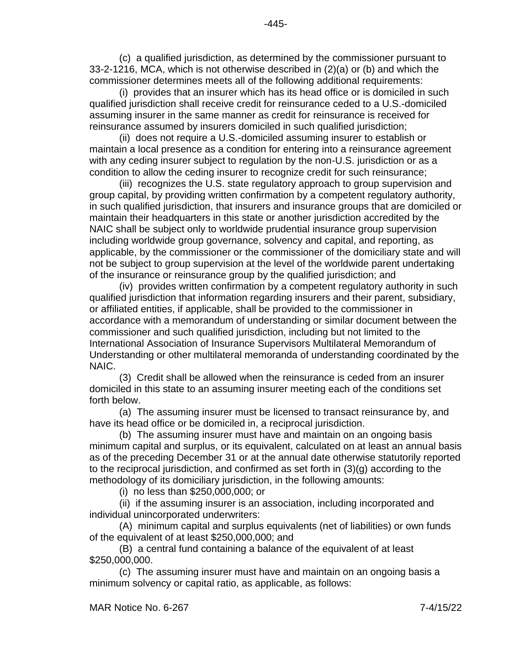(c) a qualified jurisdiction, as determined by the commissioner pursuant to 33-2-1216, MCA, which is not otherwise described in (2)(a) or (b) and which the commissioner determines meets all of the following additional requirements:

(i) provides that an insurer which has its head office or is domiciled in such qualified jurisdiction shall receive credit for reinsurance ceded to a U.S.-domiciled assuming insurer in the same manner as credit for reinsurance is received for reinsurance assumed by insurers domiciled in such qualified jurisdiction;

(ii) does not require a U.S.-domiciled assuming insurer to establish or maintain a local presence as a condition for entering into a reinsurance agreement with any ceding insurer subject to regulation by the non-U.S. jurisdiction or as a condition to allow the ceding insurer to recognize credit for such reinsurance;

(iii) recognizes the U.S. state regulatory approach to group supervision and group capital, by providing written confirmation by a competent regulatory authority, in such qualified jurisdiction, that insurers and insurance groups that are domiciled or maintain their headquarters in this state or another jurisdiction accredited by the NAIC shall be subject only to worldwide prudential insurance group supervision including worldwide group governance, solvency and capital, and reporting, as applicable, by the commissioner or the commissioner of the domiciliary state and will not be subject to group supervision at the level of the worldwide parent undertaking of the insurance or reinsurance group by the qualified jurisdiction; and

(iv) provides written confirmation by a competent regulatory authority in such qualified jurisdiction that information regarding insurers and their parent, subsidiary, or affiliated entities, if applicable, shall be provided to the commissioner in accordance with a memorandum of understanding or similar document between the commissioner and such qualified jurisdiction, including but not limited to the International Association of Insurance Supervisors Multilateral Memorandum of Understanding or other multilateral memoranda of understanding coordinated by the NAIC.

(3) Credit shall be allowed when the reinsurance is ceded from an insurer domiciled in this state to an assuming insurer meeting each of the conditions set forth below.

(a) The assuming insurer must be licensed to transact reinsurance by, and have its head office or be domiciled in, a reciprocal jurisdiction.

(b) The assuming insurer must have and maintain on an ongoing basis minimum capital and surplus, or its equivalent, calculated on at least an annual basis as of the preceding December 31 or at the annual date otherwise statutorily reported to the reciprocal jurisdiction, and confirmed as set forth in (3)(g) according to the methodology of its domiciliary jurisdiction, in the following amounts:

(i) no less than \$250,000,000; or

(ii) if the assuming insurer is an association, including incorporated and individual unincorporated underwriters:

(A) minimum capital and surplus equivalents (net of liabilities) or own funds of the equivalent of at least \$250,000,000; and

(B) a central fund containing a balance of the equivalent of at least \$250,000,000.

(c) The assuming insurer must have and maintain on an ongoing basis a minimum solvency or capital ratio, as applicable, as follows: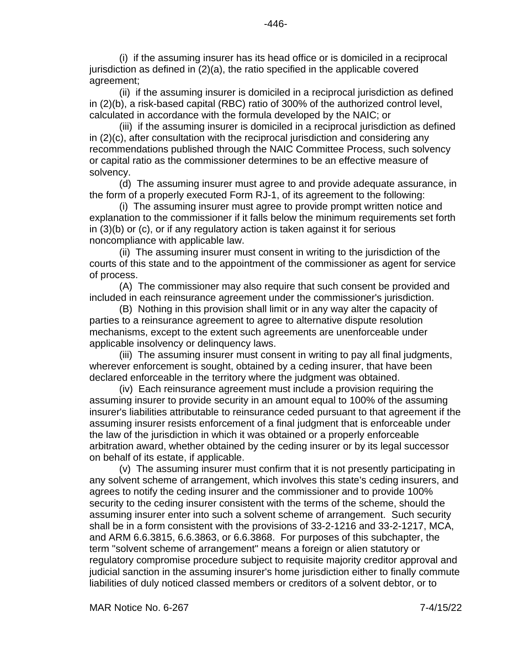(i) if the assuming insurer has its head office or is domiciled in a reciprocal jurisdiction as defined in (2)(a), the ratio specified in the applicable covered agreement;

(ii) if the assuming insurer is domiciled in a reciprocal jurisdiction as defined in (2)(b), a risk-based capital (RBC) ratio of 300% of the authorized control level, calculated in accordance with the formula developed by the NAIC; or

(iii) if the assuming insurer is domiciled in a reciprocal jurisdiction as defined in (2)(c), after consultation with the reciprocal jurisdiction and considering any recommendations published through the NAIC Committee Process, such solvency or capital ratio as the commissioner determines to be an effective measure of solvency.

(d) The assuming insurer must agree to and provide adequate assurance, in the form of a properly executed Form RJ-1, of its agreement to the following:

(i) The assuming insurer must agree to provide prompt written notice and explanation to the commissioner if it falls below the minimum requirements set forth in (3)(b) or (c), or if any regulatory action is taken against it for serious noncompliance with applicable law.

(ii) The assuming insurer must consent in writing to the jurisdiction of the courts of this state and to the appointment of the commissioner as agent for service of process.

(A) The commissioner may also require that such consent be provided and included in each reinsurance agreement under the commissioner's jurisdiction.

(B) Nothing in this provision shall limit or in any way alter the capacity of parties to a reinsurance agreement to agree to alternative dispute resolution mechanisms, except to the extent such agreements are unenforceable under applicable insolvency or delinquency laws.

(iii) The assuming insurer must consent in writing to pay all final judgments, wherever enforcement is sought, obtained by a ceding insurer, that have been declared enforceable in the territory where the judgment was obtained.

(iv) Each reinsurance agreement must include a provision requiring the assuming insurer to provide security in an amount equal to 100% of the assuming insurer's liabilities attributable to reinsurance ceded pursuant to that agreement if the assuming insurer resists enforcement of a final judgment that is enforceable under the law of the jurisdiction in which it was obtained or a properly enforceable arbitration award, whether obtained by the ceding insurer or by its legal successor on behalf of its estate, if applicable.

(v) The assuming insurer must confirm that it is not presently participating in any solvent scheme of arrangement, which involves this state's ceding insurers, and agrees to notify the ceding insurer and the commissioner and to provide 100% security to the ceding insurer consistent with the terms of the scheme, should the assuming insurer enter into such a solvent scheme of arrangement. Such security shall be in a form consistent with the provisions of 33-2-1216 and 33-2-1217, MCA, and ARM 6.6.3815, 6.6.3863, or 6.6.3868. For purposes of this subchapter, the term "solvent scheme of arrangement" means a foreign or alien statutory or regulatory compromise procedure subject to requisite majority creditor approval and judicial sanction in the assuming insurer's home jurisdiction either to finally commute liabilities of duly noticed classed members or creditors of a solvent debtor, or to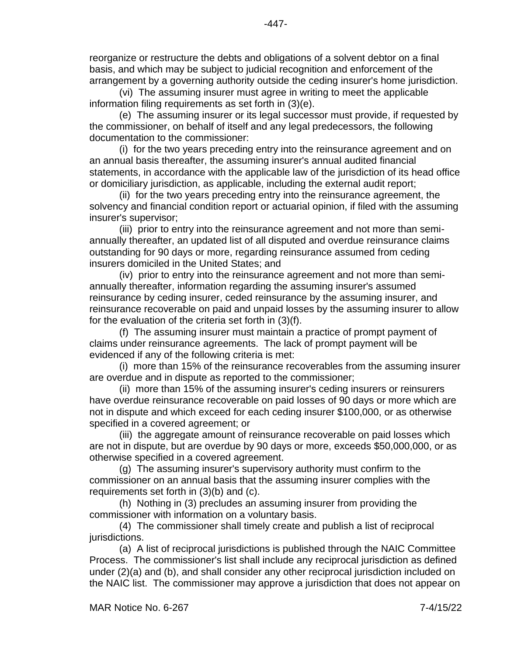reorganize or restructure the debts and obligations of a solvent debtor on a final basis, and which may be subject to judicial recognition and enforcement of the arrangement by a governing authority outside the ceding insurer's home jurisdiction.

(vi) The assuming insurer must agree in writing to meet the applicable information filing requirements as set forth in (3)(e).

(e) The assuming insurer or its legal successor must provide, if requested by the commissioner, on behalf of itself and any legal predecessors, the following documentation to the commissioner:

(i) for the two years preceding entry into the reinsurance agreement and on an annual basis thereafter, the assuming insurer's annual audited financial statements, in accordance with the applicable law of the jurisdiction of its head office or domiciliary jurisdiction, as applicable, including the external audit report;

(ii) for the two years preceding entry into the reinsurance agreement, the solvency and financial condition report or actuarial opinion, if filed with the assuming insurer's supervisor;

(iii) prior to entry into the reinsurance agreement and not more than semiannually thereafter, an updated list of all disputed and overdue reinsurance claims outstanding for 90 days or more, regarding reinsurance assumed from ceding insurers domiciled in the United States; and

(iv) prior to entry into the reinsurance agreement and not more than semiannually thereafter, information regarding the assuming insurer's assumed reinsurance by ceding insurer, ceded reinsurance by the assuming insurer, and reinsurance recoverable on paid and unpaid losses by the assuming insurer to allow for the evaluation of the criteria set forth in (3)(f).

(f) The assuming insurer must maintain a practice of prompt payment of claims under reinsurance agreements. The lack of prompt payment will be evidenced if any of the following criteria is met:

(i) more than 15% of the reinsurance recoverables from the assuming insurer are overdue and in dispute as reported to the commissioner;

(ii) more than 15% of the assuming insurer's ceding insurers or reinsurers have overdue reinsurance recoverable on paid losses of 90 days or more which are not in dispute and which exceed for each ceding insurer \$100,000, or as otherwise specified in a covered agreement; or

(iii) the aggregate amount of reinsurance recoverable on paid losses which are not in dispute, but are overdue by 90 days or more, exceeds \$50,000,000, or as otherwise specified in a covered agreement.

(g) The assuming insurer's supervisory authority must confirm to the commissioner on an annual basis that the assuming insurer complies with the requirements set forth in (3)(b) and (c).

(h) Nothing in (3) precludes an assuming insurer from providing the commissioner with information on a voluntary basis.

(4) The commissioner shall timely create and publish a list of reciprocal jurisdictions.

(a) A list of reciprocal jurisdictions is published through the NAIC Committee Process. The commissioner's list shall include any reciprocal jurisdiction as defined under (2)(a) and (b), and shall consider any other reciprocal jurisdiction included on the NAIC list. The commissioner may approve a jurisdiction that does not appear on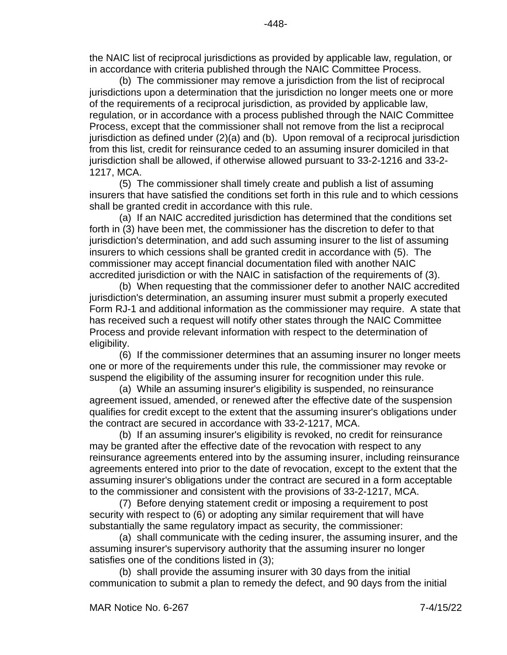(b) The commissioner may remove a jurisdiction from the list of reciprocal jurisdictions upon a determination that the jurisdiction no longer meets one or more of the requirements of a reciprocal jurisdiction, as provided by applicable law, regulation, or in accordance with a process published through the NAIC Committee Process, except that the commissioner shall not remove from the list a reciprocal jurisdiction as defined under (2)(a) and (b). Upon removal of a reciprocal jurisdiction from this list, credit for reinsurance ceded to an assuming insurer domiciled in that jurisdiction shall be allowed, if otherwise allowed pursuant to 33-2-1216 and 33-2- 1217, MCA.

(5) The commissioner shall timely create and publish a list of assuming insurers that have satisfied the conditions set forth in this rule and to which cessions shall be granted credit in accordance with this rule.

(a) If an NAIC accredited jurisdiction has determined that the conditions set forth in (3) have been met, the commissioner has the discretion to defer to that jurisdiction's determination, and add such assuming insurer to the list of assuming insurers to which cessions shall be granted credit in accordance with (5). The commissioner may accept financial documentation filed with another NAIC accredited jurisdiction or with the NAIC in satisfaction of the requirements of (3).

(b) When requesting that the commissioner defer to another NAIC accredited jurisdiction's determination, an assuming insurer must submit a properly executed Form RJ-1 and additional information as the commissioner may require. A state that has received such a request will notify other states through the NAIC Committee Process and provide relevant information with respect to the determination of eligibility.

(6) If the commissioner determines that an assuming insurer no longer meets one or more of the requirements under this rule, the commissioner may revoke or suspend the eligibility of the assuming insurer for recognition under this rule.

(a) While an assuming insurer's eligibility is suspended, no reinsurance agreement issued, amended, or renewed after the effective date of the suspension qualifies for credit except to the extent that the assuming insurer's obligations under the contract are secured in accordance with 33-2-1217, MCA.

(b) If an assuming insurer's eligibility is revoked, no credit for reinsurance may be granted after the effective date of the revocation with respect to any reinsurance agreements entered into by the assuming insurer, including reinsurance agreements entered into prior to the date of revocation, except to the extent that the assuming insurer's obligations under the contract are secured in a form acceptable to the commissioner and consistent with the provisions of 33-2-1217, MCA.

(7) Before denying statement credit or imposing a requirement to post security with respect to (6) or adopting any similar requirement that will have substantially the same regulatory impact as security, the commissioner:

(a) shall communicate with the ceding insurer, the assuming insurer, and the assuming insurer's supervisory authority that the assuming insurer no longer satisfies one of the conditions listed in (3);

(b) shall provide the assuming insurer with 30 days from the initial communication to submit a plan to remedy the defect, and 90 days from the initial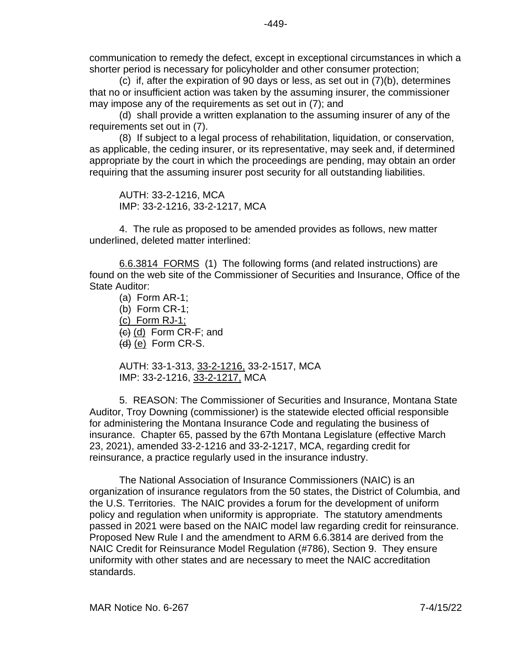communication to remedy the defect, except in exceptional circumstances in which a shorter period is necessary for policyholder and other consumer protection;

(c) if, after the expiration of 90 days or less, as set out in (7)(b), determines that no or insufficient action was taken by the assuming insurer, the commissioner may impose any of the requirements as set out in (7); and

(d) shall provide a written explanation to the assuming insurer of any of the requirements set out in (7).

(8) If subject to a legal process of rehabilitation, liquidation, or conservation, as applicable, the ceding insurer, or its representative, may seek and, if determined appropriate by the court in which the proceedings are pending, may obtain an order requiring that the assuming insurer post security for all outstanding liabilities.

AUTH: 33-2-1216, MCA IMP: 33-2-1216, 33-2-1217, MCA

4. The rule as proposed to be amended provides as follows, new matter underlined, deleted matter interlined:

[6.6.3814](https://rules.mt.gov/gateway/ruleno.asp?RN=6%2E6%2E3814) FORMS (1) The following forms (and related instructions) are found on the web site of the Commissioner of Securities and Insurance, Office of the State Auditor:

(a) Form AR-1; (b) Form CR-1; (c) Form RJ-1;  $(c)$  (d) Form CR-F; and  $(d)$  (e) Form CR-S.

AUTH: 33-1-313, 33-2-1216, 33-2-1517, MCA IMP: 33-2-1216, 33-2-1217, MCA

5. REASON: The Commissioner of Securities and Insurance, Montana State Auditor, Troy Downing (commissioner) is the statewide elected official responsible for administering the Montana Insurance Code and regulating the business of insurance. Chapter 65, passed by the 67th Montana Legislature (effective March 23, 2021), amended 33-2-1216 and 33-2-1217, MCA, regarding credit for reinsurance, a practice regularly used in the insurance industry.

The National Association of Insurance Commissioners (NAIC) is an organization of insurance regulators from the 50 states, the District of Columbia, and the U.S. Territories. The NAIC provides a forum for the development of uniform policy and regulation when uniformity is appropriate. The statutory amendments passed in 2021 were based on the NAIC model law regarding credit for reinsurance. Proposed New Rule I and the amendment to ARM 6.6.3814 are derived from the NAIC Credit for Reinsurance Model Regulation (#786), Section 9. They ensure uniformity with other states and are necessary to meet the NAIC accreditation standards.